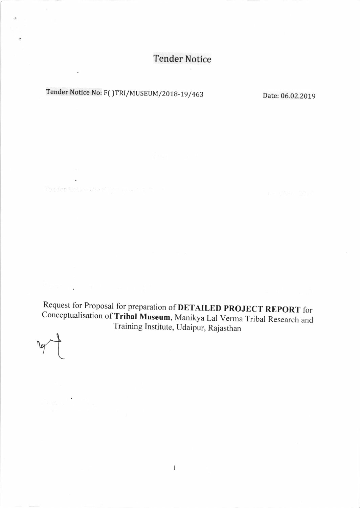## **Tender Notice**

## Tender Notice No: F( )TRI/MUSEUM/2018-19/463 Date: 06.02.2019

 $\ddot{\phantom{0}}$ 

 $\ddot{\phantom{0}}$ 

3. 1. 3. 10 mm

Pander Networker Piller a zw. 1. and

×.

Request for Proposal for preparation of **DETAILED PROJECT REPORT** for Conceptualisation of Tribal Museum, Manikya Lal Verma Tribal Research and Training Institute, Udaipur, Rajasthan

 $\mathbf{1}$